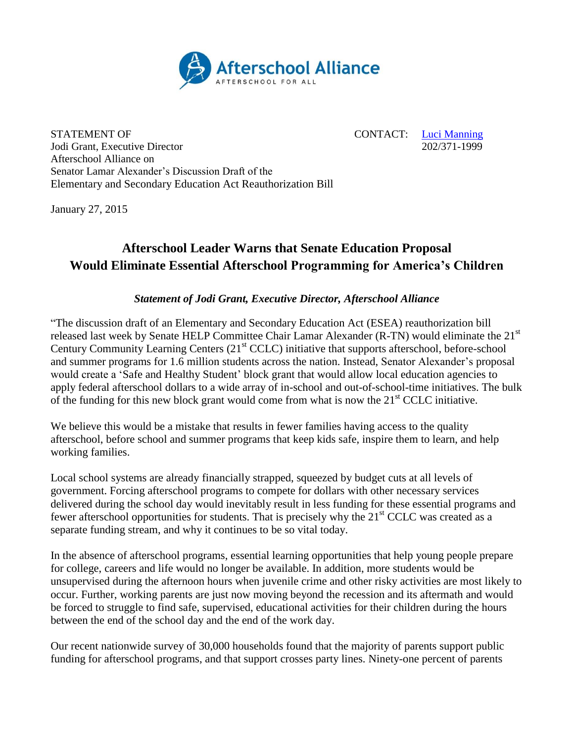

STATEMENT OF CONTACT: [Luci Manning](mailto:luci@prsolutionsdc.com)<br>
100 CONTACT: Luci Manning<br>
202/371-1999 Jodi Grant, Executive Director Afterschool Alliance on Senator Lamar Alexander's Discussion Draft of the Elementary and Secondary Education Act Reauthorization Bill

January 27, 2015

## **Afterschool Leader Warns that Senate Education Proposal Would Eliminate Essential Afterschool Programming for America's Children**

## *Statement of Jodi Grant, Executive Director, Afterschool Alliance*

"The discussion draft of an Elementary and Secondary Education Act (ESEA) reauthorization bill released last week by Senate HELP Committee Chair Lamar Alexander (R-TN) would eliminate the 21<sup>st</sup> Century Community Learning Centers (21<sup>st</sup> CCLC) initiative that supports afterschool, before-school and summer programs for 1.6 million students across the nation. Instead, Senator Alexander's proposal would create a 'Safe and Healthy Student' block grant that would allow local education agencies to apply federal afterschool dollars to a wide array of in-school and out-of-school-time initiatives. The bulk of the funding for this new block grant would come from what is now the  $21<sup>st</sup> CCLC$  initiative.

We believe this would be a mistake that results in fewer families having access to the quality afterschool, before school and summer programs that keep kids safe, inspire them to learn, and help working families.

Local school systems are already financially strapped, squeezed by budget cuts at all levels of government. Forcing afterschool programs to compete for dollars with other necessary services delivered during the school day would inevitably result in less funding for these essential programs and fewer afterschool opportunities for students. That is precisely why the 21<sup>st</sup> CCLC was created as a separate funding stream, and why it continues to be so vital today.

In the absence of afterschool programs, essential learning opportunities that help young people prepare for college, careers and life would no longer be available. In addition, more students would be unsupervised during the afternoon hours when juvenile crime and other risky activities are most likely to occur. Further, working parents are just now moving beyond the recession and its aftermath and would be forced to struggle to find safe, supervised, educational activities for their children during the hours between the end of the school day and the end of the work day.

Our recent nationwide survey of 30,000 households found that the majority of parents support public funding for afterschool programs, and that support crosses party lines. Ninety-one percent of parents